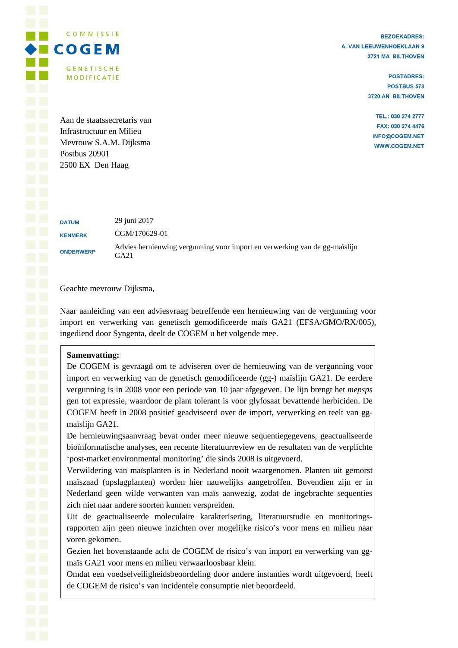**BEZOEKADRES:** A. VAN LEEUWENHOEKLAAN 9 3721 MA BILTHOVEN

> **POSTADRES: POSTBUS 578** 3720 AN BILTHOVEN

TEL.: 030 274 2777 FAX: 030 274 4476 INFO@COGEM.NET **WWW.COGEM.NET** 

Aan de staatssecretaris van Infrastructuur en Milieu Mevrouw S.A.M. Dijksma Postbus 20901 2500 EX Den Haag

COMMISSIE

**GENETISCHE** 

**MODIFICATIE** 

**DATUM** 29 juni 2017 **KENMERK** CGM/170629-01 **ONDERWERP** Advies hernieuwing vergunning voor import en verwerking van de gg-maïslijn GA21

Geachte mevrouw Dijksma,

Naar aanleiding van een adviesvraag betreffende een hernieuwing van de vergunning voor import en verwerking van genetisch gemodificeerde maïs GA21 (EFSA/GMO/RX/005), ingediend door Syngenta, deelt de COGEM u het volgende mee.

# **Samenvatting:**

De COGEM is gevraagd om te adviseren over de hernieuwing van de vergunning voor import en verwerking van de genetisch gemodificeerde (gg-) maïslijn GA21. De eerdere vergunning is in 2008 voor een periode van 10 jaar afgegeven. De lijn brengt het *mepsps* gen tot expressie, waardoor de plant tolerant is voor glyfosaat bevattende herbiciden. De COGEM heeft in 2008 positief geadviseerd over de import, verwerking en teelt van ggmaïslijn GA21.

De hernieuwingsaanvraag bevat onder meer nieuwe sequentiegegevens, geactualiseerde bioïnformatische analyses, een recente literatuurreview en de resultaten van de verplichte 'post-market environmental monitoring' die sinds 2008 is uitgevoerd.

Verwildering van maïsplanten is in Nederland nooit waargenomen. Planten uit gemorst maïszaad (opslagplanten) worden hier nauwelijks aangetroffen. Bovendien zijn er in Nederland geen wilde verwanten van maïs aanwezig, zodat de ingebrachte sequenties zich niet naar andere soorten kunnen verspreiden.

Uit de geactualiseerde moleculaire karakterisering, literatuurstudie en monitoringsrapporten zijn geen nieuwe inzichten over mogelijke risico's voor mens en milieu naar voren gekomen.

Gezien het bovenstaande acht de COGEM de risico's van import en verwerking van ggmaïs GA21 voor mens en milieu verwaarloosbaar klein.

Omdat een voedselveiligheidsbeoordeling door andere instanties wordt uitgevoerd, heeft de COGEM de risico's van incidentele consumptie niet beoordeeld.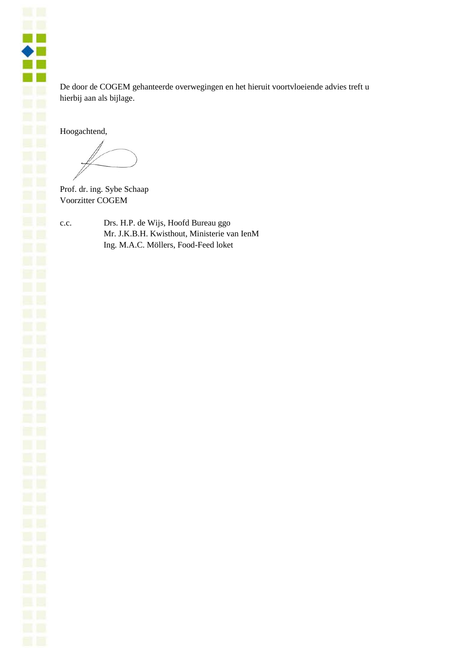m m  $\bullet$   $\blacksquare$ - 1 **CONTRACTOR** 

De door de COGEM gehanteerde overwegingen en het hieruit voortvloeiende advies treft u hierbij aan als bijlage.

Hoogachtend,

Prof. dr. ing. Sybe Schaap Voorzitter COGEM

c.c. Drs. H.P. de Wijs, Hoofd Bureau ggo Mr. J.K.B.H. Kwisthout, Ministerie van IenM Ing. M.A.C. Möllers, Food-Feed loket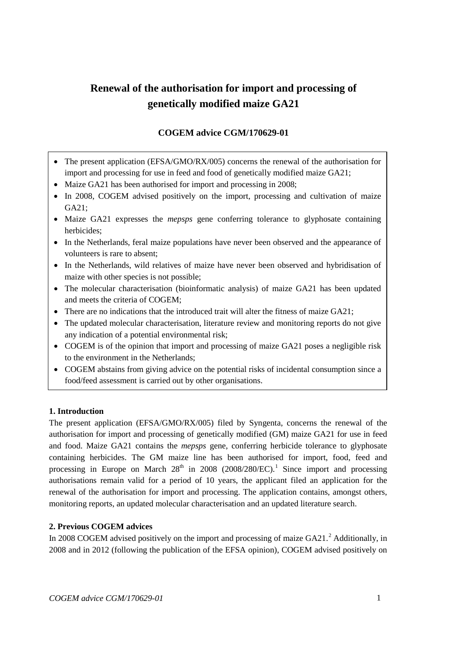# **Renewal of the authorisation for import and processing of genetically modified maize GA21**

# **COGEM advice CGM/170629-01**

- The present application (EFSA/GMO/RX/005) concerns the renewal of the authorisation for import and processing for use in feed and food of genetically modified maize GA21;
- Maize GA21 has been authorised for import and processing in 2008;
- In 2008, COGEM advised positively on the import, processing and cultivation of maize GA21;
- Maize GA21 expresses the *mepsps* gene conferring tolerance to glyphosate containing herbicides;
- In the Netherlands, feral maize populations have never been observed and the appearance of volunteers is rare to absent;
- In the Netherlands, wild relatives of maize have never been observed and hybridisation of maize with other species is not possible;
- The molecular characterisation (bioinformatic analysis) of maize GA21 has been updated and meets the criteria of COGEM;
- There are no indications that the introduced trait will alter the fitness of maize GA21;
- The updated molecular characterisation, literature review and monitoring reports do not give any indication of a potential environmental risk;
- COGEM is of the opinion that import and processing of maize GA21 poses a negligible risk to the environment in the Netherlands;
- COGEM abstains from giving advice on the potential risks of incidental consumption since a food/feed assessment is carried out by other organisations.

# **1. Introduction**

The present application (EFSA/GMO/RX/005) filed by Syngenta, concerns the renewal of the authorisation for import and processing of genetically modified (GM) maize GA21 for use in feed and food. Maize GA21 contains the *mepsps* gene, conferring herbicide tolerance to glyphosate containing herbicides. The GM maize line has been authorised for import, food, feed and processing in Europe on March  $28<sup>th</sup>$  in 2008 (2008/280/EC).<sup>[1](#page-5-0)</sup> Since import and processing authorisations remain valid for a period of 10 years, the applicant filed an application for the renewal of the authorisation for import and processing. The application contains, amongst others, monitoring reports, an updated molecular characterisation and an updated literature search.

# **2. Previous COGEM advices**

In [2](#page-5-1)008 COGEM advised positively on the import and processing of maize GA21.<sup>2</sup> Additionally, in 2008 and in 2012 (following the publication of the EFSA opinion), COGEM advised positively on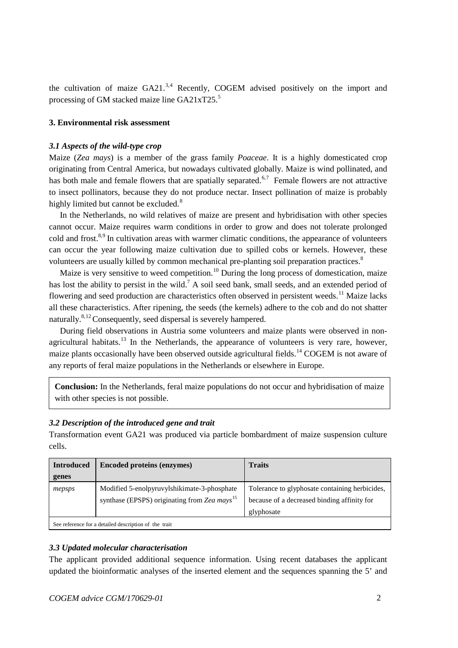the cultivation of maize  $GA21<sup>3,4</sup>$  $GA21<sup>3,4</sup>$  $GA21<sup>3,4</sup>$  $GA21<sup>3,4</sup>$  Recently, COGEM advised positively on the import and processing of GM stacked maize line GA21xT2[5](#page-6-2).<sup>5</sup>

#### **3. Environmental risk assessment**

#### *3.1 Aspects of the wild-type crop*

<span id="page-3-1"></span>Maize (*Zea mays*) is a member of the grass family *Poaceae*. It is a highly domesticated crop originating from Central America, but nowadays cultivated globally. Maize is wind pollinated, and has both male and female flowers that are spatially separated.<sup>[6,](#page-6-3)[7](#page-6-4)</sup> Female flowers are not attractive to insect pollinators, because they do not produce nectar. Insect pollination of maize is probably highly limited but cannot be excluded.<sup>[8](#page-6-5)</sup>

<span id="page-3-0"></span>In the Netherlands, no wild relatives of maize are present and hybridisation with other species cannot occur. Maize requires warm conditions in order to grow and does not tolerate prolonged cold and frost.<sup>[8,](#page-3-0)[9](#page-6-6)</sup> In cultivation areas with warmer climatic conditions, the appearance of volunteers can occur the year following maize cultivation due to spilled cobs or kernels. However, these volunteers are usually killed by common mechanical pre-planting soil preparation practices[.](#page-3-0)<sup>8</sup>

Maize is very sensitive to weed competition.<sup>[10](#page-6-7)</sup> During the long process of domestication, maize has lost the ability to persist in the wild.<sup>7</sup> A soil seed bank, small seeds, and an extended period of flowering and seed production are characteristics often observed in persistent weeds.<sup>[11](#page-6-8)</sup> Maize lacks all these characteristics. After ripening, the seeds (the kernels) adhere to the cob and do not shatter naturally.<sup>[8,](#page-3-0)[12](#page-6-9)</sup> Consequently, seed dispersal is severely hampered.

During field observations in Austria some volunteers and maize plants were observed in non-agricultural habitats.<sup>[13](#page-6-10)</sup> In the Netherlands, the appearance of volunteers is very rare, however, maize plants occasionally have been observed outside agricultural fields.<sup>[14](#page-6-11)</sup> COGEM is not aware of any reports of feral maize populations in the Netherlands or elsewhere in Europe.

**Conclusion:** In the Netherlands, feral maize populations do not occur and hybridisation of maize with other species is not possible.

#### *3.2 Description of the introduced gene and trait*

Transformation event GA21 was produced via particle bombardment of maize suspension culture cells.

| <b>Introduced</b>                                     | <b>Encoded proteins (enzymes)</b>                                                                       | <b>Traits</b>                                                                                               |
|-------------------------------------------------------|---------------------------------------------------------------------------------------------------------|-------------------------------------------------------------------------------------------------------------|
| genes                                                 |                                                                                                         |                                                                                                             |
| mepsps                                                | Modified 5-enolpyruvylshikimate-3-phosphate<br>synthase (EPSPS) originating from Zea mays <sup>15</sup> | Tolerance to glyphosate containing herbicides,<br>because of a decreased binding affinity for<br>glyphosate |
| See reference for a detailed description of the trait |                                                                                                         |                                                                                                             |

#### *3.3 Updated molecular characterisation*

The applicant provided additional sequence information. Using recent databases the applicant updated the bioinformatic analyses of the inserted element and the sequences spanning the 5' and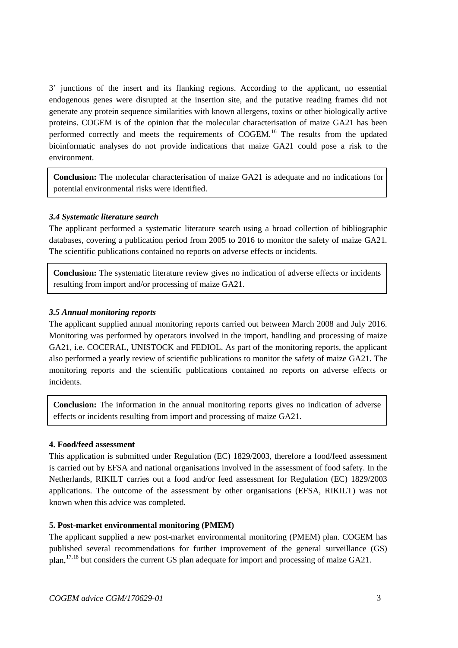3' junctions of the insert and its flanking regions. According to the applicant, no essential endogenous genes were disrupted at the insertion site, and the putative reading frames did not generate any protein sequence similarities with known allergens, toxins or other biologically active proteins. COGEM is of the opinion that the molecular characterisation of maize GA21 has been performed correctly and meets the requirements of COGEM.<sup>[16](#page-6-13)</sup> The results from the updated bioinformatic analyses do not provide indications that maize GA21 could pose a risk to the environment.

**Conclusion:** The molecular characterisation of maize GA21 is adequate and no indications for potential environmental risks were identified.

## *3.4 Systematic literature search*

The applicant performed a systematic literature search using a broad collection of bibliographic databases, covering a publication period from 2005 to 2016 to monitor the safety of maize GA21. The scientific publications contained no reports on adverse effects or incidents.

**Conclusion:** The systematic literature review gives no indication of adverse effects or incidents resulting from import and/or processing of maize GA21.

## *3.5 Annual monitoring reports*

The applicant supplied annual monitoring reports carried out between March 2008 and July 2016. Monitoring was performed by operators involved in the import, handling and processing of maize GA21, i.e. COCERAL, UNISTOCK and FEDIOL. As part of the monitoring reports, the applicant also performed a yearly review of scientific publications to monitor the safety of maize GA21. The monitoring reports and the scientific publications contained no reports on adverse effects or incidents.

**Conclusion:** The information in the annual monitoring reports gives no indication of adverse effects or incidents resulting from import and processing of maize GA21.

#### **4. Food/feed assessment**

This application is submitted under Regulation (EC) 1829/2003, therefore a food/feed assessment is carried out by EFSA and national organisations involved in the assessment of food safety. In the Netherlands, RIKILT carries out a food and/or feed assessment for Regulation (EC) 1829/2003 applications. The outcome of the assessment by other organisations (EFSA, RIKILT) was not known when this advice was completed.

#### **5. Post-market environmental monitoring (PMEM)**

The applicant supplied a new post-market environmental monitoring (PMEM) plan. COGEM has published several recommendations for further improvement of the general surveillance (GS) plan, <sup>[17](#page-6-14),[18](#page-6-15)</sup> but considers the current GS plan adequate for import and processing of maize GA21.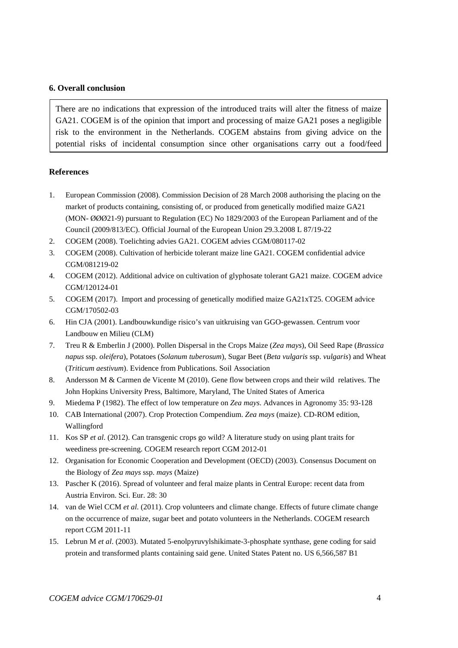#### **6. Overall conclusion**

There are no indications that expression of the introduced traits will alter the fitness of maize GA21. COGEM is of the opinion that import and processing of maize GA21 poses a negligible risk to the environment in the Netherlands. COGEM abstains from giving advice on the potential risks of incidental consumption since other organisations carry out a food/feed

#### **References**

- <span id="page-5-0"></span>1. European Commission (2008). Commission Decision of 28 March 2008 authorising the placing on the market of products containing, consisting of, or produced from genetically modified maize GA21 (MON- ØØØ21-9) pursuant to Regulation (EC) No 1829/2003 of the European Parliament and of the Council (2009/813/EC). Official Journal of the European Union 29.3.2008 L 87/19-22
- <span id="page-5-1"></span>2. COGEM (2008). Toelichting advies GA21. COGEM advies CGM/080117-02
- 3. COGEM (2008). Cultivation of herbicide tolerant maize line GA21. COGEM confidential advice CGM/081219-02
- 4. COGEM (2012). Additional advice on cultivation of glyphosate tolerant GA21 maize. COGEM advice CGM/120124-01
- 5. COGEM (2017). Import and processing of genetically modified maize GA21xT25. COGEM advice CGM/170502-03
- 6. Hin CJA (2001). Landbouwkundige risico's van uitkruising van GGO-gewassen. Centrum voor Landbouw en Milieu (CLM)
- 7. Treu R & Emberlin J (2000). Pollen Dispersal in the Crops Maize (*Zea mays*), Oil Seed Rape (*Brassica napus* ssp. *oleifera*), Potatoes (*Solanum tuberosum*), Sugar Beet (*Beta vulgaris* ssp. *vulgaris*) and Wheat (*Triticum aestivum*). Evidence from Publications. Soil Association
- 8. Andersson M & Carmen de Vicente M (2010). Gene flow between crops and their wild relatives. The John Hopkins University Press, Baltimore, Maryland, The United States of America
- 9. Miedema P (1982). The effect of low temperature on *Zea mays*. Advances in Agronomy 35: 93-128
- 10. CAB International (2007). Crop Protection Compendium. *Zea mays* (maize). CD-ROM edition, Wallingford
- 11. Kos SP *et al*. (2012). Can transgenic crops go wild? A literature study on using plant traits for weediness pre-screening. COGEM research report CGM 2012-01
- 12. Organisation for Economic Cooperation and Development (OECD) (2003). Consensus Document on the Biology of *Zea mays* ssp. *mays* (Maize)
- 13. Pascher K (2016). Spread of volunteer and feral maize plants in Central Europe: recent data from Austria Environ. Sci. Eur. 28: 30
- 14. van de Wiel CCM *et al*. (2011). Crop volunteers and climate change. Effects of future climate change on the occurrence of maize, sugar beet and potato volunteers in the Netherlands. COGEM research report CGM 2011-11
- 15. Lebrun M *et al*. (2003). Mutated 5-enolpyruvylshikimate-3-phosphate synthase, gene coding for said protein and transformed plants containing said gene. United States Patent no. US 6,566,587 B1